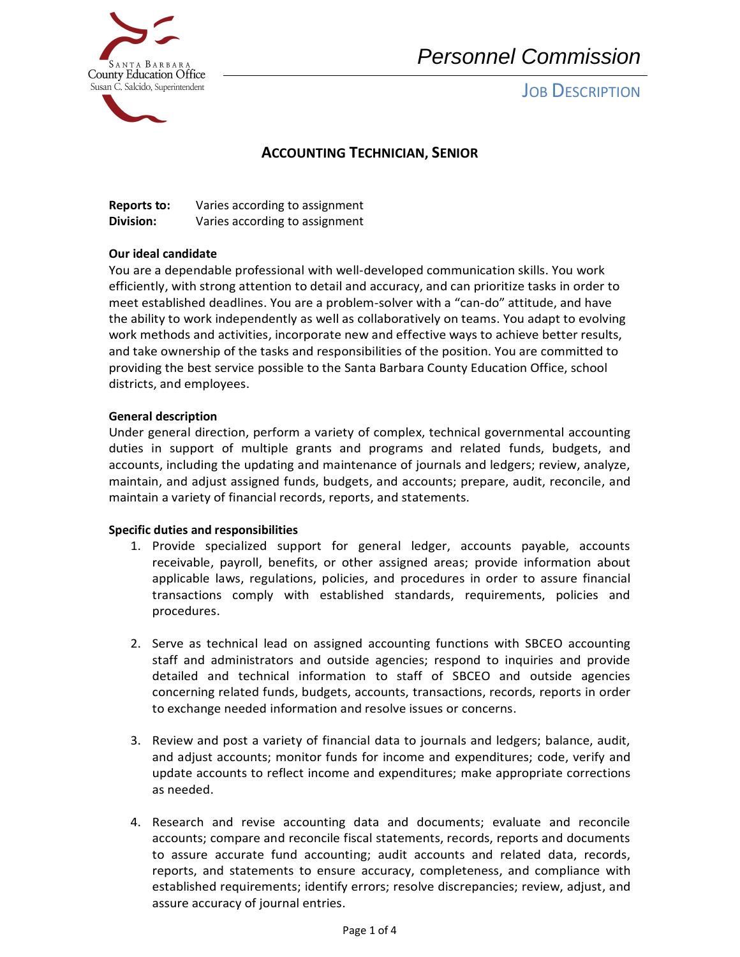

# *Personnel Commission*

# **JOB DESCRIPTION**

# **ACCOUNTING TECHNICIAN, SENIOR**

| <b>Reports to:</b> | Varies according to assignment |
|--------------------|--------------------------------|
| Division:          | Varies according to assignment |

## **Our ideal candidate**

You are a dependable professional with well-developed communication skills. You work efficiently, with strong attention to detail and accuracy, and can prioritize tasks in order to meet established deadlines. You are a problem-solver with a "can-do" attitude, and have the ability to work independently as well as collaboratively on teams. You adapt to evolving work methods and activities, incorporate new and effective ways to achieve better results, and take ownership of the tasks and responsibilities of the position. You are committed to providing the best service possible to the Santa Barbara County Education Office, school districts, and employees.

#### **General description**

Under general direction, perform a variety of complex, technical governmental accounting duties in support of multiple grants and programs and related funds, budgets, and accounts, including the updating and maintenance of journals and ledgers; review, analyze, maintain, and adjust assigned funds, budgets, and accounts; prepare, audit, reconcile, and maintain a variety of financial records, reports, and statements.

#### **Specific duties and responsibilities**

- 1. Provide specialized support for general ledger, accounts payable, accounts receivable, payroll, benefits, or other assigned areas; provide information about applicable laws, regulations, policies, and procedures in order to assure financial transactions comply with established standards, requirements, policies and procedures.
- 2. Serve as technical lead on assigned accounting functions with SBCEO accounting staff and administrators and outside agencies; respond to inquiries and provide detailed and technical information to staff of SBCEO and outside agencies concerning related funds, budgets, accounts, transactions, records, reports in order to exchange needed information and resolve issues or concerns.
- 3. Review and post a variety of financial data to journals and ledgers; balance, audit, and adjust accounts; monitor funds for income and expenditures; code, verify and update accounts to reflect income and expenditures; make appropriate corrections as needed.
- 4. Research and revise accounting data and documents; evaluate and reconcile accounts; compare and reconcile fiscal statements, records, reports and documents to assure accurate fund accounting; audit accounts and related data, records, reports, and statements to ensure accuracy, completeness, and compliance with established requirements; identify errors; resolve discrepancies; review, adjust, and assure accuracy of journal entries.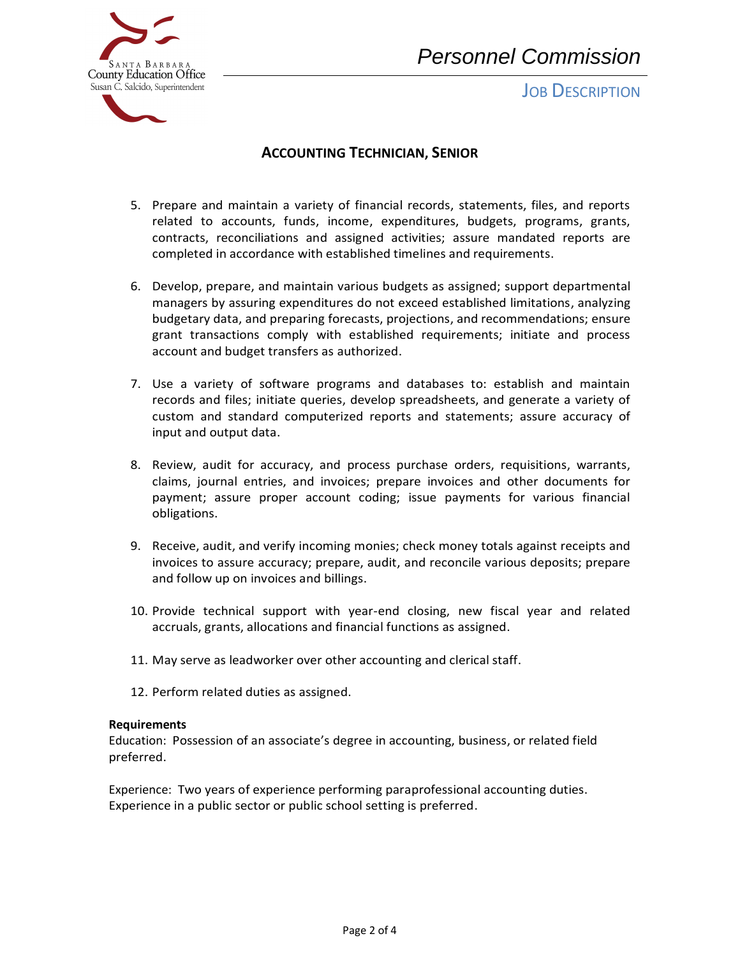

**JOB DESCRIPTION** 



# **ACCOUNTING TECHNICIAN, SENIOR**

- 5. Prepare and maintain a variety of financial records, statements, files, and reports related to accounts, funds, income, expenditures, budgets, programs, grants, contracts, reconciliations and assigned activities; assure mandated reports are completed in accordance with established timelines and requirements.
- 6. Develop, prepare, and maintain various budgets as assigned; support departmental managers by assuring expenditures do not exceed established limitations, analyzing budgetary data, and preparing forecasts, projections, and recommendations; ensure grant transactions comply with established requirements; initiate and process account and budget transfers as authorized.
- 7. Use a variety of software programs and databases to: establish and maintain records and files; initiate queries, develop spreadsheets, and generate a variety of custom and standard computerized reports and statements; assure accuracy of input and output data.
- 8. Review, audit for accuracy, and process purchase orders, requisitions, warrants, claims, journal entries, and invoices; prepare invoices and other documents for payment; assure proper account coding; issue payments for various financial obligations.
- 9. Receive, audit, and verify incoming monies; check money totals against receipts and invoices to assure accuracy; prepare, audit, and reconcile various deposits; prepare and follow up on invoices and billings.
- 10. Provide technical support with year-end closing, new fiscal year and related accruals, grants, allocations and financial functions as assigned.
- 11. May serve as leadworker over other accounting and clerical staff.
- 12. Perform related duties as assigned.

## **Requirements**

Education: Possession of an associate's degree in accounting, business, or related field preferred.

Experience: Two years of experience performing paraprofessional accounting duties. Experience in a public sector or public school setting is preferred.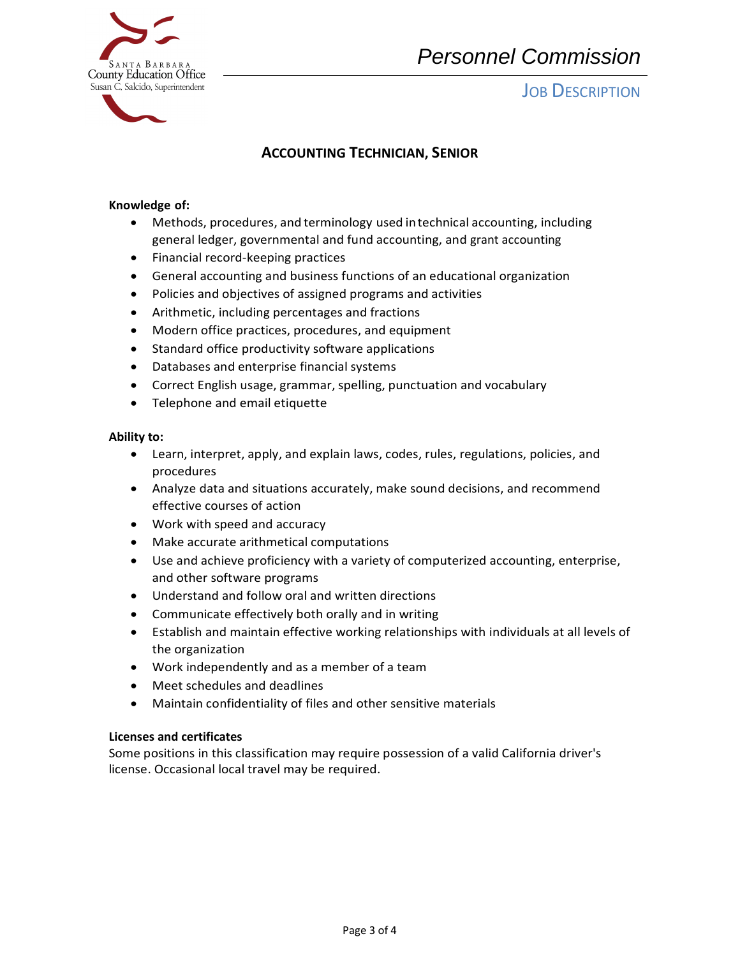

# *Personnel Commission*

**JOB DESCRIPTION** 

# **ACCOUNTING TECHNICIAN, SENIOR**

## **Knowledge of:**

- general ledger, governmental and fund accounting, and grant accounting • Methods, procedures, and terminology used intechnical accounting, including
- Financial record-keeping practices
- General accounting and business functions of an educational organization
- Policies and objectives of assigned programs and activities
- Arithmetic, including percentages and fractions
- Modern office practices, procedures, and equipment
- Standard office productivity software applications
- Databases and enterprise financial systems
- Correct English usage, grammar, spelling, punctuation and vocabulary
- Telephone and email etiquette

## **Ability to:**

- • Learn, interpret, apply, and explain laws, codes, rules, regulations, policies, and procedures
- • Analyze data and situations accurately, make sound decisions, and recommend effective courses of action
- Work with speed and accuracy
- Make accurate arithmetical computations
- • Use and achieve proficiency with a variety of computerized accounting, enterprise, and other software programs
- Understand and follow oral and written directions
- Communicate effectively both orally and in writing
- • Establish and maintain effective working relationships with individuals at all levels of the organization
- Work independently and as a member of a team
- Meet schedules and deadlines
- Maintain confidentiality of files and other sensitive materials

## **Licenses and certificates**

 Some positions in this classification may require possession of a valid California driver's license. Occasional local travel may be required.